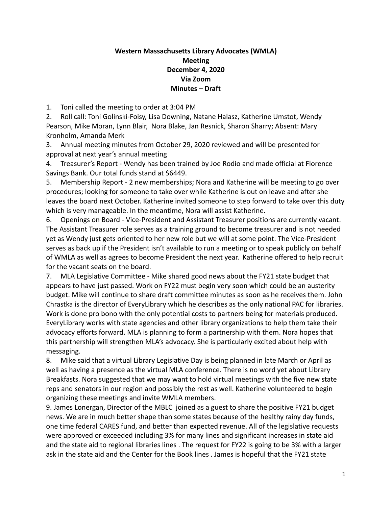## **Western Massachusetts Library Advocates (WMLA) Meeting December 4, 2020 Via Zoom Minutes – Draft**

1. Toni called the meeting to order at 3:04 PM

2. Roll call: Toni Golinski-Foisy, Lisa Downing, Natane Halasz, Katherine Umstot, Wendy Pearson, Mike Moran, Lynn Blair, Nora Blake, Jan Resnick, Sharon Sharry; Absent: Mary Kronholm, Amanda Merk

3. Annual meeting minutes from October 29, 2020 reviewed and will be presented for approval at next year's annual meeting

4. Treasurer's Report - Wendy has been trained by Joe Rodio and made official at Florence Savings Bank. Our total funds stand at \$6449.

5. Membership Report - 2 new memberships; Nora and Katherine will be meeting to go over procedures; looking for someone to take over while Katherine is out on leave and after she leaves the board next October. Katherine invited someone to step forward to take over this duty which is very manageable. In the meantime, Nora will assist Katherine.

6. Openings on Board - Vice-President and Assistant Treasurer positions are currently vacant. The Assistant Treasurer role serves as a training ground to become treasurer and is not needed yet as Wendy just gets oriented to her new role but we will at some point. The Vice-President serves as back up if the President isn't available to run a meeting or to speak publicly on behalf of WMLA as well as agrees to become President the next year. Katherine offered to help recruit for the vacant seats on the board.

7. MLA Legislative Committee - Mike shared good news about the FY21 state budget that appears to have just passed. Work on FY22 must begin very soon which could be an austerity budget. Mike will continue to share draft committee minutes as soon as he receives them. John Chrastka is the director of EveryLibrary which he describes as the only national PAC for libraries. Work is done pro bono with the only potential costs to partners being for materials produced. EveryLibrary works with state agencies and other library organizations to help them take their advocacy efforts forward. MLA is planning to form a partnership with them. Nora hopes that this partnership will strengthen MLA's advocacy. She is particularly excited about help with messaging.

8. Mike said that a virtual Library Legislative Day is being planned in late March or April as well as having a presence as the virtual MLA conference. There is no word yet about Library Breakfasts. Nora suggested that we may want to hold virtual meetings with the five new state reps and senators in our region and possibly the rest as well. Katherine volunteered to begin organizing these meetings and invite WMLA members.

9. James Lonergan, Director of the MBLC joined as a guest to share the positive FY21 budget news. We are in much better shape than some states because of the healthy rainy day funds, one time federal CARES fund, and better than expected revenue. All of the legislative requests were approved or exceeded including 3% for many lines and significant increases in state aid and the state aid to regional libraries lines . The request for FY22 is going to be 3% with a larger ask in the state aid and the Center for the Book lines . James is hopeful that the FY21 state